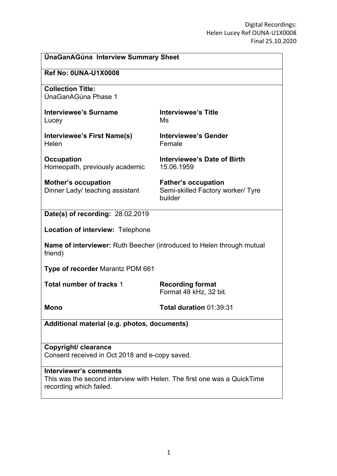| <b>UnaGanAGuna Interview Summary Sheet</b>                                                                                   |                                                                            |
|------------------------------------------------------------------------------------------------------------------------------|----------------------------------------------------------------------------|
| <b>Ref No: 0UNA-U1X0008</b>                                                                                                  |                                                                            |
| <b>Collection Title:</b><br>ÚnaGanAGúna Phase 1                                                                              |                                                                            |
| <b>Interviewee's Surname</b><br>Lucey                                                                                        | <b>Interviewee's Title</b><br>Ms                                           |
| Interviewee's First Name(s)<br>Helen                                                                                         | <b>Interviewee's Gender</b><br>Female                                      |
| <b>Occupation</b><br>Homeopath, previously academic                                                                          | <b>Interviewee's Date of Birth</b><br>15.06.1959                           |
| <b>Mother's occupation</b><br>Dinner Lady/ teaching assistant                                                                | <b>Father's occupation</b><br>Semi-skilled Factory worker/ Tyre<br>builder |
| Date(s) of recording: 28.02.2019                                                                                             |                                                                            |
| Location of interview: Telephone                                                                                             |                                                                            |
| <b>Name of interviewer:</b> Ruth Beecher (introduced to Helen through mutual<br>friend)                                      |                                                                            |
| Type of recorder Marantz PDM 661                                                                                             |                                                                            |
| <b>Total number of tracks 1</b>                                                                                              | <b>Recording format</b><br>Format 48 kHz, 32 bit.                          |
| <b>Mono</b>                                                                                                                  | Total duration 01:39:31                                                    |
| Additional material (e.g. photos, documents)                                                                                 |                                                                            |
| Copyright/ clearance<br>Consent received in Oct 2018 and e-copy saved.                                                       |                                                                            |
| Interviewer's comments<br>This was the second interview with Helen. The first one was a QuickTime<br>recording which failed. |                                                                            |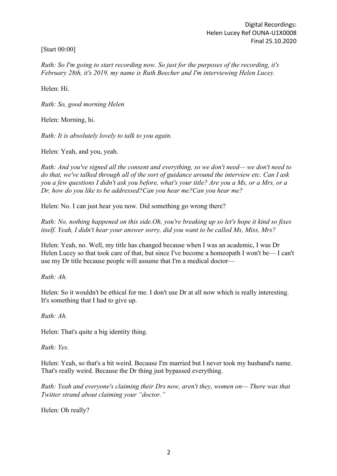[Start 00:00]

*Ruth: So I'm going to start recording now. So just for the purposes of the recording, it's February 28th, it's 2019, my name is Ruth Beecher and I'm interviewing Helen Lucey.*

Helen: Hi.

*Ruth: So, good morning Helen*

Helen: Morning, hi.

*Ruth: It is absolutely lovely to talk to you again.*

Helen: Yeah, and you, yeah.

*Ruth: And you've signed all the consent and everything, so we don't need— we don't need to do that, we've talked through all of the sort of guidance around the interview etc. Can I ask you a few questions I didn't ask you before, what's your title? Are you a Ms, or a Mrs, or a Dr, how do you like to be addressed?Can you hear me?Can you hear me?*

Helen: No. I can just hear you now. Did something go wrong there?

*Ruth: No, nothing happened on this side.Oh, you're breaking up so let's hope it kind so fixes itself. Yeah, I didn't hear your answer sorry, did you want to be called Ms, Miss, Mrs?*

Helen: Yeah, no. Well, my title has changed because when I was an academic, I was Dr Helen Lucey so that took care of that, but since I've become a homeopath I won't be— I can't use my Dr title because people will assume that I'm a medical doctor—

*Ruth: Ah.*

Helen: So it wouldn't be ethical for me. I don't use Dr at all now which is really interesting. It's something that I had to give up.

*Ruth: Ah.*

Helen: That's quite a big identity thing.

*Ruth: Yes*.

Helen: Yeah, so that's a bit weird. Because I'm married but I never took my husband's name. That's really weird. Because the Dr thing just bypassed everything.

*Ruth: Yeah and everyone's claiming their Drs now, aren't they, women on— There was that Twitter strand about claiming your "doctor."*

Helen: Oh really?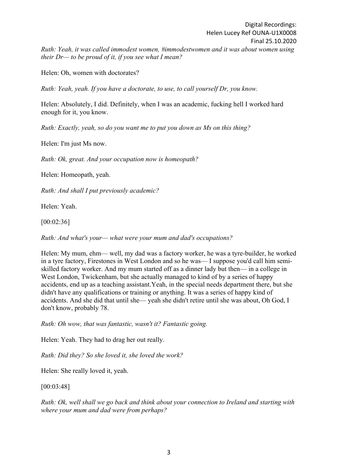Helen: Oh, women with doctorates?

*their Dr— to be proud of it, if you see what I mean?*

*Ruth: Yeah, yeah. If you have a doctorate, to use, to call yourself Dr, you know.*

Helen: Absolutely, I did. Definitely, when I was an academic, fucking hell I worked hard enough for it, you know.

*Ruth: Exactly, yeah, so do you want me to put you down as Ms on this thing?*

Helen: I'm just Ms now.

*Ruth: Ok, great. And your occupation now is homeopath?*

Helen: Homeopath, yeah.

*Ruth: And shall I put previously academic?*

Helen: Yeah.

[00:02:36]

*Ruth: And what's your— what were your mum and dad's occupations?*

Helen: My mum, ehm— well, my dad was a factory worker, he was a tyre-builder, he worked in a tyre factory, Firestones in West London and so he was— I suppose you'd call him semiskilled factory worker. And my mum started off as a dinner lady but then— in a college in West London, Twickenham, but she actually managed to kind of by a series of happy accidents, end up as a teaching assistant.Yeah, in the special needs department there, but she didn't have any qualifications or training or anything. It was a series of happy kind of accidents. And she did that until she— yeah she didn't retire until she was about, Oh God, I don't know, probably 78.

*Ruth: Oh wow, that was fantastic, wasn't it? Fantastic going.*

Helen: Yeah. They had to drag her out really.

*Ruth: Did they? So she loved it, she loved the work?*

Helen: She really loved it, yeah.

[00:03:48]

*Ruth: Ok, well shall we go back and think about your connection to Ireland and starting with where your mum and dad were from perhaps?*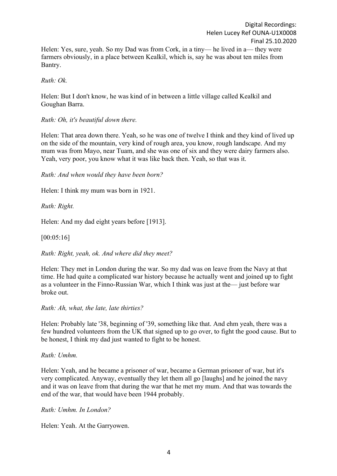Helen: Yes, sure, yeah. So my Dad was from Cork, in a tiny— he lived in a— they were farmers obviously, in a place between Kealkil, which is, say he was about ten miles from Bantry.

*Ruth: Ok.*

Helen: But I don't know, he was kind of in between a little village called Kealkil and Goughan Barra.

*Ruth: Oh, it's beautiful down there.*

Helen: That area down there. Yeah, so he was one of twelve I think and they kind of lived up on the side of the mountain, very kind of rough area, you know, rough landscape. And my mum was from Mayo, near Tuam, and she was one of six and they were dairy farmers also. Yeah, very poor, you know what it was like back then. Yeah, so that was it.

*Ruth: And when would they have been born?*

Helen: I think my mum was born in 1921.

*Ruth: Right.*

Helen: And my dad eight years before [1913].

[00:05:16]

*Ruth: Right, yeah, ok. And where did they meet?*

Helen: They met in London during the war. So my dad was on leave from the Navy at that time. He had quite a complicated war history because he actually went and joined up to fight as a volunteer in the Finno-Russian War, which I think was just at the— just before war broke out.

*Ruth: Ah, what, the late, late thirties?*

Helen: Probably late '38, beginning of '39, something like that. And ehm yeah, there was a few hundred volunteers from the UK that signed up to go over, to fight the good cause. But to be honest, I think my dad just wanted to fight to be honest.

*Ruth: Umhm.*

Helen: Yeah, and he became a prisoner of war, became a German prisoner of war, but it's very complicated. Anyway, eventually they let them all go [laughs] and he joined the navy and it was on leave from that during the war that he met my mum. And that was towards the end of the war, that would have been 1944 probably.

*Ruth: Umhm. In London?*

Helen: Yeah. At the Garryowen.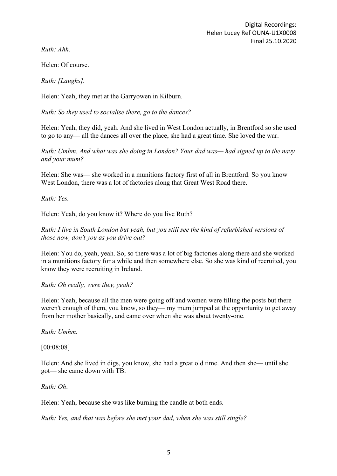*Ruth: Ahh.*

Helen: Of course.

*Ruth: [Laughs].*

Helen: Yeah, they met at the Garryowen in Kilburn.

*Ruth: So they used to socialise there, go to the dances?*

Helen: Yeah, they did, yeah. And she lived in West London actually, in Brentford so she used to go to any— all the dances all over the place, she had a great time. She loved the war.

*Ruth: Umhm. And what was she doing in London? Your dad was— had signed up to the navy and your mum?*

Helen: She was— she worked in a munitions factory first of all in Brentford. So you know West London, there was a lot of factories along that Great West Road there.

*Ruth: Yes.*

Helen: Yeah, do you know it? Where do you live Ruth?

*Ruth: I live in South London but yeah, but you still see the kind of refurbished versions of those now, don't you as you drive out?*

Helen: You do, yeah, yeah. So, so there was a lot of big factories along there and she worked in a munitions factory for a while and then somewhere else. So she was kind of recruited, you know they were recruiting in Ireland.

*Ruth: Oh really, were they, yeah?*

Helen: Yeah, because all the men were going off and women were filling the posts but there weren't enough of them, you know, so they— my mum jumped at the opportunity to get away from her mother basically, and came over when she was about twenty-one.

*Ruth: Umhm.*

[00:08:08]

Helen: And she lived in digs, you know, she had a great old time. And then she— until she got— she came down with TB.

*Ruth: Oh*.

Helen: Yeah, because she was like burning the candle at both ends.

*Ruth: Yes, and that was before she met your dad, when she was still single?*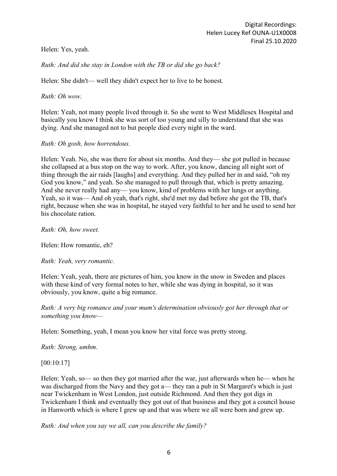Helen: Yes, yeah.

# *Ruth: And did she stay in London with the TB or did she go back?*

Helen: She didn't— well they didn't expect her to live to be honest.

*Ruth: Oh wow.*

Helen: Yeah, not many people lived through it. So she went to West Middlesex Hospital and basically you know I think she was sort of too young and silly to understand that she was dying. And she managed not to but people died every night in the ward.

*Ruth: Oh gosh, how horrendous.*

Helen: Yeah. No, she was there for about six months. And they— she got pulled in because she collapsed at a bus stop on the way to work. After, you know, dancing all night sort of thing through the air raids [laughs] and everything. And they pulled her in and said, "oh my God you know," and yeah. So she managed to pull through that, which is pretty amazing. And she never really had any— you know, kind of problems with her lungs or anything. Yeah, so it was— And oh yeah, that's right, she'd met my dad before she got the TB, that's right, because when she was in hospital, he stayed very faithful to her and he used to send her his chocolate ration.

*Ruth: Oh, how sweet.*

Helen: How romantic, eh?

*Ruth: Yeah, very romantic.*

Helen: Yeah, yeah, there are pictures of him, you know in the snow in Sweden and places with these kind of very formal notes to her, while she was dying in hospital, so it was obviously, you know, quite a big romance.

*Ruth: A very big romance and your mum's determination obviously got her through that or something you know—*

Helen: Something, yeah, I mean you know her vital force was pretty strong.

*Ruth: Strong, umhm*.

# [00:10:17]

Helen: Yeah, so— so then they got married after the war, just afterwards when he— when he was discharged from the Navy and they got a— they ran a pub in St Margaret's which is just near Twickenham in West London, just outside Richmond. And then they got digs in Twickenham I think and eventually they got out of that business and they got a council house in Hanworth which is where I grew up and that was where we all were born and grew up.

*Ruth: And when you say we all, can you describe the family?*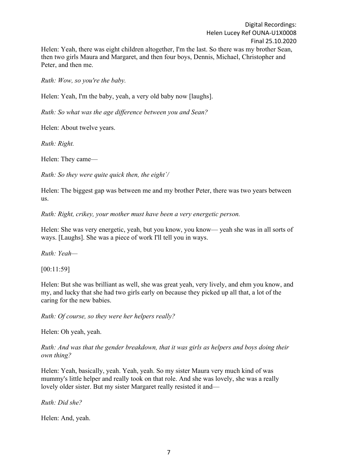Digital Recordings: Helen Lucey Ref OUNA-U1X0008 Final 25.10.2020 Helen: Yeah, there was eight children altogether, I'm the last. So there was my brother Sean, then two girls Maura and Margaret, and then four boys, Dennis, Michael, Christopher and Peter, and then me.

*Ruth: Wow, so you're the baby.*

Helen: Yeah, I'm the baby, yeah, a very old baby now [laughs].

*Ruth: So what was the age difference between you and Sean?*

Helen: About twelve years.

*Ruth: Right.*

Helen: They came—

*Ruth: So they were quite quick then, the eight`/*

Helen: The biggest gap was between me and my brother Peter, there was two years between us.

*Ruth: Right, crikey, your mother must have been a very energetic person.*

Helen: She was very energetic, yeah, but you know, you know— yeah she was in all sorts of ways. [Laughs]. She was a piece of work I'll tell you in ways.

*Ruth: Yeah—*

[00:11:59]

Helen: But she was brilliant as well, she was great yeah, very lively, and ehm you know, and my, and lucky that she had two girls early on because they picked up all that, a lot of the caring for the new babies.

*Ruth: Of course, so they were her helpers really?*

Helen: Oh yeah, yeah.

*Ruth: And was that the gender breakdown, that it was girls as helpers and boys doing their own thing?*

Helen: Yeah, basically, yeah. Yeah, yeah. So my sister Maura very much kind of was mummy's little helper and really took on that role. And she was lovely, she was a really lovely older sister. But my sister Margaret really resisted it and—

*Ruth: Did she?*

Helen: And, yeah.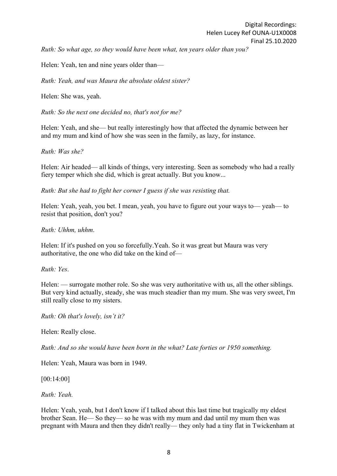*Ruth: So what age, so they would have been what, ten years older than you?*

Helen: Yeah, ten and nine years older than—

*Ruth: Yeah, and was Maura the absolute oldest sister?*

Helen: She was, yeah.

*Ruth: So the next one decided no, that's not for me?*

Helen: Yeah, and she— but really interestingly how that affected the dynamic between her and my mum and kind of how she was seen in the family, as lazy, for instance.

*Ruth: Was she?*

Helen: Air headed— all kinds of things, very interesting. Seen as somebody who had a really fiery temper which she did, which is great actually. But you know...

*Ruth: But she had to fight her corner I guess if she was resisting that.*

Helen: Yeah, yeah, you bet. I mean, yeah, you have to figure out your ways to— yeah— to resist that position, don't you?

*Ruth: Uhhm, uhhm*.

Helen: If it's pushed on you so forcefully.Yeah. So it was great but Maura was very authoritative, the one who did take on the kind of—

*Ruth: Yes*.

Helen: — surrogate mother role. So she was very authoritative with us, all the other siblings. But very kind actually, steady, she was much steadier than my mum. She was very sweet, I'm still really close to my sisters.

*Ruth: Oh that's lovely, isn't it?*

Helen: Really close.

*Ruth: And so she would have been born in the what? Late forties or 1950 something.*

Helen: Yeah, Maura was born in 1949.

[00:14:00]

*Ruth: Yeah.*

Helen: Yeah, yeah, but I don't know if I talked about this last time but tragically my eldest brother Sean. He— So they— so he was with my mum and dad until my mum then was pregnant with Maura and then they didn't really— they only had a tiny flat in Twickenham at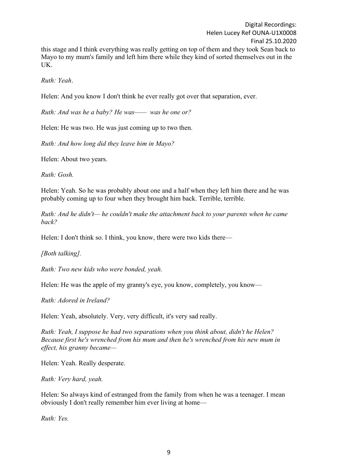*Ruth: Yeah*.

Helen: And you know I don't think he ever really got over that separation, ever.

*Ruth: And was he a baby? He was—— was he one or?*

Helen: He was two. He was just coming up to two then.

*Ruth: And how long did they leave him in Mayo?*

Helen: About two years.

*Ruth: Gosh.*

Helen: Yeah. So he was probably about one and a half when they left him there and he was probably coming up to four when they brought him back. Terrible, terrible.

*Ruth: And he didn't— he couldn't make the attachment back to your parents when he came back?*

Helen: I don't think so. I think, you know, there were two kids there—

*[Both talking].* 

*Ruth: Two new kids who were bonded, yeah.*

Helen: He was the apple of my granny's eye, you know, completely, you know—

*Ruth: Adored in Ireland?*

Helen: Yeah, absolutely. Very, very difficult, it's very sad really.

*Ruth: Yeah, I suppose he had two separations when you think about, didn't he Helen? Because first he's wrenched from his mum and then he's wrenched from his new mum in effect, his granny became—*

Helen: Yeah. Really desperate.

*Ruth: Very hard, yeah.*

Helen: So always kind of estranged from the family from when he was a teenager. I mean obviously I don't really remember him ever living at home—

*Ruth: Yes.*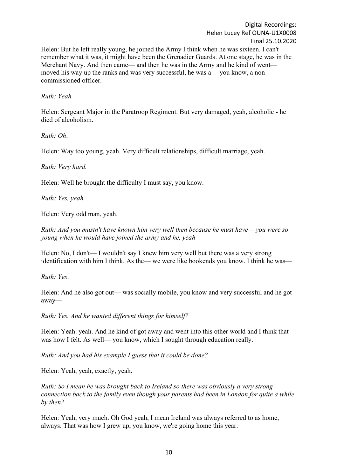Helen: But he left really young, he joined the Army I think when he was sixteen. I can't remember what it was, it might have been the Grenadier Guards. At one stage, he was in the Merchant Navy. And then came— and then he was in the Army and he kind of went moved his way up the ranks and was very successful, he was a— you know, a noncommissioned officer.

*Ruth: Yeah.*

Helen: Sergeant Major in the Paratroop Regiment. But very damaged, yeah, alcoholic - he died of alcoholism.

*Ruth: Oh*.

Helen: Way too young, yeah. Very difficult relationships, difficult marriage, yeah.

*Ruth: Very hard.*

Helen: Well he brought the difficulty I must say, you know.

*Ruth: Yes, yeah.*

Helen: Very odd man, yeah.

*Ruth: And you mustn't have known him very well then because he must have— you were so young when he would have joined the army and he, yeah—*

Helen: No, I don't— I wouldn't say I knew him very well but there was a very strong identification with him I think. As the— we were like bookends you know. I think he was—

*Ruth: Yes*.

Helen: And he also got out— was socially mobile, you know and very successful and he got away—

*Ruth: Yes. And he wanted different things for himself?*

Helen: Yeah. yeah. And he kind of got away and went into this other world and I think that was how I felt. As well— you know, which I sought through education really.

*Ruth: And you had his example I guess that it could be done?*

Helen: Yeah, yeah, exactly, yeah.

*Ruth: So I mean he was brought back to Ireland so there was obviously a very strong connection back to the family even though your parents had been in London for quite a while by then?*

Helen: Yeah, very much. Oh God yeah, I mean Ireland was always referred to as home, always. That was how I grew up, you know, we're going home this year.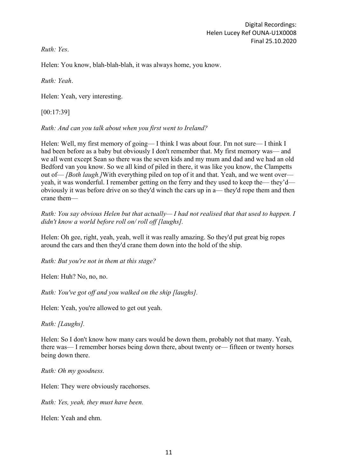*Ruth: Yes*.

Helen: You know, blah-blah-blah, it was always home, you know.

*Ruth: Yeah*.

Helen: Yeah, very interesting.

[00:17:39]

*Ruth: And can you talk about when you first went to Ireland?*

Helen: Well, my first memory of going— I think I was about four. I'm not sure— I think I had been before as a baby but obviously I don't remember that. My first memory was— and we all went except Sean so there was the seven kids and my mum and dad and we had an old Bedford van you know. So we all kind of piled in there, it was like you know, the Clampetts out of— *[Both laugh.]*With everything piled on top of it and that. Yeah, and we went over yeah, it was wonderful. I remember getting on the ferry and they used to keep the— they'd obviously it was before drive on so they'd winch the cars up in a— they'd rope them and then crane them—

*Ruth: You say obvious Helen but that actually— I had not realised that that used to happen. I didn't know a world before roll on/ roll off [laughs].*

Helen: Oh gee, right, yeah, yeah, well it was really amazing. So they'd put great big ropes around the cars and then they'd crane them down into the hold of the ship.

*Ruth: But you're not in them at this stage?*

Helen: Huh? No, no, no.

*Ruth: You've got off and you walked on the ship [laughs].*

Helen: Yeah, you're allowed to get out yeah.

*Ruth: [Laughs].*

Helen: So I don't know how many cars would be down them, probably not that many. Yeah, there was— I remember horses being down there, about twenty or— fifteen or twenty horses being down there.

*Ruth: Oh my goodness.*

Helen: They were obviously racehorses.

*Ruth: Yes, yeah, they must have been.*

Helen: Yeah and ehm.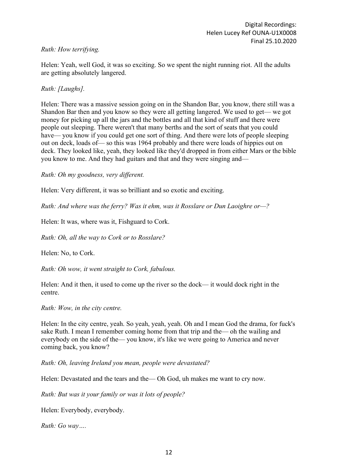## *Ruth: How terrifying.*

Helen: Yeah, well God, it was so exciting. So we spent the night running riot. All the adults are getting absolutely langered.

### *Ruth: [Laughs].*

Helen: There was a massive session going on in the Shandon Bar, you know, there still was a Shandon Bar then and you know so they were all getting langered. We used to get— we got money for picking up all the jars and the bottles and all that kind of stuff and there were people out sleeping. There weren't that many berths and the sort of seats that you could have— you know if you could get one sort of thing. And there were lots of people sleeping out on deck, loads of— so this was 1964 probably and there were loads of hippies out on deck. They looked like, yeah, they looked like they'd dropped in from either Mars or the bible you know to me. And they had guitars and that and they were singing and—

*Ruth: Oh my goodness, very different.*

Helen: Very different, it was so brilliant and so exotic and exciting.

*Ruth: And where was the ferry? Was it ehm, was it Rosslare or Dun Laoighre or—?*

Helen: It was, where was it, Fishguard to Cork.

*Ruth: Oh, all the way to Cork or to Rosslare?*

Helen: No, to Cork.

*Ruth: Oh wow, it went straight to Cork, fabulous.*

Helen: And it then, it used to come up the river so the dock— it would dock right in the centre.

*Ruth: Wow, in the city centre.*

Helen: In the city centre, yeah. So yeah, yeah, yeah. Oh and I mean God the drama, for fuck's sake Ruth. I mean I remember coming home from that trip and the— oh the wailing and everybody on the side of the— you know, it's like we were going to America and never coming back, you know?

*Ruth: Oh, leaving Ireland you mean, people were devastated?*

Helen: Devastated and the tears and the— Oh God, uh makes me want to cry now.

*Ruth: But was it your family or was it lots of people?*

Helen: Everybody, everybody.

*Ruth: Go way….*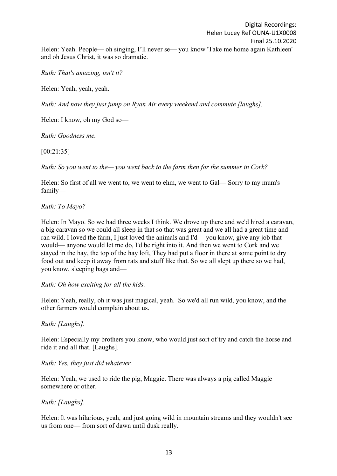*Ruth: That's amazing, isn't it?*

Helen: Yeah, yeah, yeah.

*Ruth: And now they just jump on Ryan Air every weekend and commute [laughs].*

Helen: I know, oh my God so—

*Ruth: Goodness me.*

[00:21:35]

*Ruth: So you went to the— you went back to the farm then for the summer in Cork?*

Helen: So first of all we went to, we went to ehm, we went to Gal— Sorry to my mum's family—

*Ruth: To Mayo?*

Helen: In Mayo. So we had three weeks I think. We drove up there and we'd hired a caravan, a big caravan so we could all sleep in that so that was great and we all had a great time and ran wild. I loved the farm, I just loved the animals and I'd— you know, give any job that would— anyone would let me do, I'd be right into it. And then we went to Cork and we stayed in the hay, the top of the hay loft, They had put a floor in there at some point to dry food out and keep it away from rats and stuff like that. So we all slept up there so we had, you know, sleeping bags and—

*Ruth: Oh how exciting for all the kids.*

Helen: Yeah, really, oh it was just magical, yeah. So we'd all run wild, you know, and the other farmers would complain about us.

*Ruth: [Laughs].*

Helen: Especially my brothers you know, who would just sort of try and catch the horse and ride it and all that. [Laughs].

*Ruth: Yes, they just did whatever.*

Helen: Yeah, we used to ride the pig, Maggie. There was always a pig called Maggie somewhere or other.

*Ruth: [Laughs].*

Helen: It was hilarious, yeah, and just going wild in mountain streams and they wouldn't see us from one— from sort of dawn until dusk really.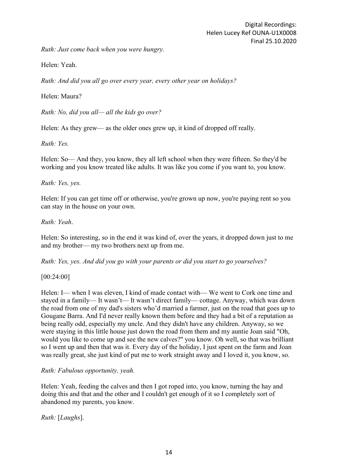*Ruth: Just come back when you were hungry.*

Helen: Yeah.

*Ruth: And did you all go over every year, every other year on holidays?*

Helen: Maura?

*Ruth: No, did you all— all the kids go over?*

Helen: As they grew— as the older ones grew up, it kind of dropped off really.

*Ruth: Yes.*

Helen: So— And they, you know, they all left school when they were fifteen. So they'd be working and you know treated like adults. It was like you come if you want to, you know.

*Ruth: Yes, yes.*

Helen: If you can get time off or otherwise, you're grown up now, you're paying rent so you can stay in the house on your own.

*Ruth: Yeah*.

Helen: So interesting, so in the end it was kind of, over the years, it dropped down just to me and my brother— my two brothers next up from me.

*Ruth: Yes, yes. And did you go with your parents or did you start to go yourselves?*

[00:24:00]

Helen: I— when I was eleven, I kind of made contact with— We went to Cork one time and stayed in a family— It wasn't— It wasn't direct family— cottage. Anyway, which was down the road from one of my dad's sisters who'd married a farmer, just on the road that goes up to Gougane Barra. And I'd never really known them before and they had a bit of a reputation as being really odd, especially my uncle. And they didn't have any children. Anyway, so we were staying in this little house just down the road from them and my auntie Joan said "Oh, would you like to come up and see the new calves?" you know. Oh well, so that was brilliant so I went up and then that was it. Every day of the holiday, I just spent on the farm and Joan was really great, she just kind of put me to work straight away and I loved it, you know, so.

#### *Ruth: Fabulous opportunity, yeah.*

Helen: Yeah, feeding the calves and then I got roped into, you know, turning the hay and doing this and that and the other and I couldn't get enough of it so I completely sort of abandoned my parents, you know.

*Ruth:* [*Laughs*].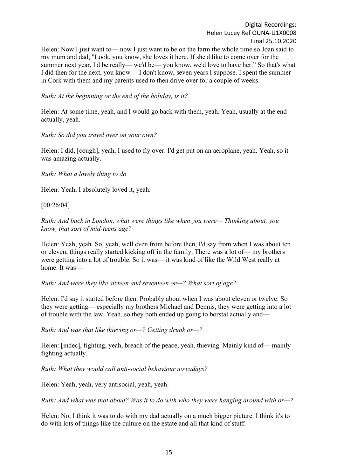Helen: Now I just want to — now I just want to be on the farm the whole time so Joan said to my mum and dad, "Look, you know, she loves it here. If she'd like to come over for the summer next year, I'd be really— we'd be— you know, we'd love to have her." So that's what I did then for the next, you know— I don't know, seven years I suppose. I spent the summer in Cork with them and my parents used to then drive over for a couple of weeks.

*Ruth: At the beginning or the end of the holiday, is it?*

Helen: At some time, yeah, and I would go back with them, yeah. Yeah, usually at the end actually, yeah.

### *Ruth: So did you travel over on your own?*

Helen: I did, [cough], yeah, I used to fly over. I'd get put on an aeroplane, yeah. Yeah, so it was amazing actually.

*Ruth: What a lovely thing to do.*

Helen: Yeah, I absolutely loved it, yeah.

[00:26:04]

*Ruth: And back in London, what were things like when you were— Thinking about, you know, that sort of mid-teens age?*

Helen: Yeah, yeah. So, yeah, well even from before then, I'd say from when I was about ten or eleven, things really started kicking off in the family. There was a lot of— my brothers were getting into a lot of trouble. So it was— it was kind of like the Wild West really at home. It was—

*Ruth: And were they like sixteen and seventeen or—? What sort of age?*

Helen: I'd say it started before then. Probably about when I was about eleven or twelve. So they were getting— especially my brothers Michael and Dennis, they were getting into a lot of trouble with the law. Yeah, so they both ended up going to borstal actually and—

*Ruth: And was that like thieving or—? Getting drunk or—?*

Helen: [indec], fighting, yeah, breach of the peace, yeah, thieving. Mainly kind of— mainly fighting actually.

*Ruth: What they would call anti-social behaviour nowadays?*

Helen: Yeah, yeah, very antisocial, yeah, yeah.

*Ruth: And what was that about? Was it to do with who they were hanging around with or—?*

Helen: No, I think it was to do with my dad actually on a much bigger picture. I think it's to do with lots of things like the culture on the estate and all that kind of stuff.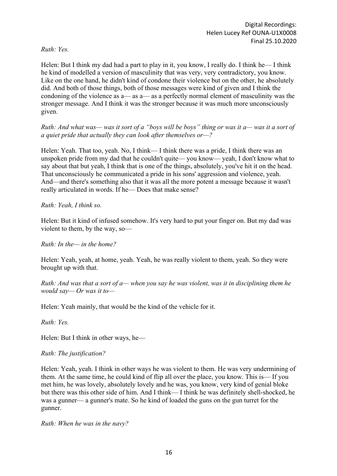*Ruth: Yes.*

Helen: But I think my dad had a part to play in it, you know, I really do. I think he— I think he kind of modelled a version of masculinity that was very, very contradictory, you know. Like on the one hand, he didn't kind of condone their violence but on the other, he absolutely did. And both of those things, both of those messages were kind of given and I think the condoning of the violence as a— as a— as a perfectly normal element of masculinity was the stronger message. And I think it was the stronger because it was much more unconsciously given.

*Ruth: And what was— was it sort of a "boys will be boys" thing or was it a— was it a sort of a quiet pride that actually they can look after themselves or—?*

Helen: Yeah. That too, yeah. No, I think— I think there was a pride, I think there was an unspoken pride from my dad that he couldn't quite— you know— yeah, I don't know what to say about that but yeah, I think that is one of the things, absolutely, you've hit it on the head. That unconsciously he communicated a pride in his sons' aggression and violence, yeah. And—and there's something also that it was all the more potent a message because it wasn't really articulated in words. If he— Does that make sense?

*Ruth: Yeah, I think so.*

Helen: But it kind of infused somehow. It's very hard to put your finger on. But my dad was violent to them, by the way, so—

*Ruth: In the— in the home?*

Helen: Yeah, yeah, at home, yeah. Yeah, he was really violent to them, yeah. So they were brought up with that.

*Ruth: And was that a sort of a— when you say he was violent, was it in disciplining them he would say— Or was it to—*

Helen: Yeah mainly, that would be the kind of the vehicle for it.

*Ruth: Yes.*

Helen: But I think in other ways, he—

*Ruth: The justification?*

Helen: Yeah, yeah. I think in other ways he was violent to them. He was very undermining of them. At the same time, he could kind of flip all over the place, you know. This is— If you met him, he was lovely, absolutely lovely and he was, you know, very kind of genial bloke but there was this other side of him. And I think— I think he was definitely shell-shocked, he was a gunner— a gunner's mate. So he kind of loaded the guns on the gun turret for the gunner.

*Ruth: When he was in the navy?*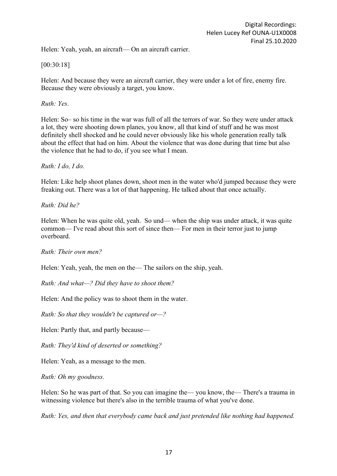Helen: Yeah, yeah, an aircraft— On an aircraft carrier.

### [00:30:18]

Helen: And because they were an aircraft carrier, they were under a lot of fire, enemy fire. Because they were obviously a target, you know.

#### *Ruth: Yes*.

Helen: So– so his time in the war was full of all the terrors of war. So they were under attack a lot, they were shooting down planes, you know, all that kind of stuff and he was most definitely shell shocked and he could never obviously like his whole generation really talk about the effect that had on him. About the violence that was done during that time but also the violence that he had to do, if you see what I mean.

*Ruth: I do, I do.*

Helen: Like help shoot planes down, shoot men in the water who'd jumped because they were freaking out. There was a lot of that happening. He talked about that once actually.

*Ruth: Did he?*

Helen: When he was quite old, yeah. So und— when the ship was under attack, it was quite common— I've read about this sort of since then— For men in their terror just to jump overboard.

*Ruth: Their own men?*

Helen: Yeah, yeah, the men on the— The sailors on the ship, yeah.

*Ruth: And what—? Did they have to shoot them?*

Helen: And the policy was to shoot them in the water.

*Ruth: So that they wouldn't be captured or—?*

Helen: Partly that, and partly because—

*Ruth: They'd kind of deserted or something?*

Helen: Yeah, as a message to the men.

*Ruth: Oh my goodness.*

Helen: So he was part of that. So you can imagine the— you know, the— There's a trauma in witnessing violence but there's also in the terrible trauma of what you've done.

*Ruth: Yes, and then that everybody came back and just pretended like nothing had happened.*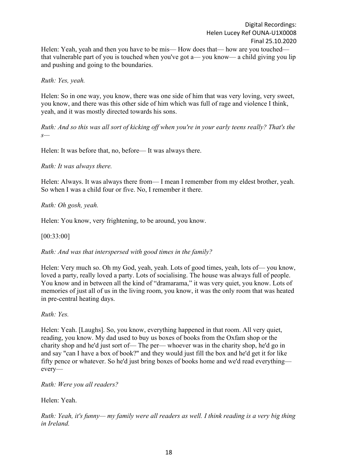Helen: Yeah, yeah and then you have to be mis— How does that— how are you touched that vulnerable part of you is touched when you've got a— you know— a child giving you lip and pushing and going to the boundaries.

*Ruth: Yes, yeah.*

Helen: So in one way, you know, there was one side of him that was very loving, very sweet, you know, and there was this other side of him which was full of rage and violence I think, yeah, and it was mostly directed towards his sons.

*Ruth: And so this was all sort of kicking off when you're in your early teens really? That's the s—*

Helen: It was before that, no, before— It was always there.

*Ruth: It was always there.*

Helen: Always. It was always there from— I mean I remember from my eldest brother, yeah. So when I was a child four or five. No, I remember it there.

*Ruth: Oh gosh, yeah.*

Helen: You know, very frightening, to be around, you know.

[00:33:00]

*Ruth: And was that interspersed with good times in the family?*

Helen: Very much so. Oh my God, yeah, yeah. Lots of good times, yeah, lots of— you know, loved a party, really loved a party. Lots of socialising. The house was always full of people. You know and in between all the kind of "dramarama," it was very quiet, you know. Lots of memories of just all of us in the living room, you know, it was the only room that was heated in pre-central heating days.

*Ruth: Yes.*

Helen: Yeah. [Laughs]. So, you know, everything happened in that room. All very quiet, reading, you know. My dad used to buy us boxes of books from the Oxfam shop or the charity shop and he'd just sort of— The per— whoever was in the charity shop, he'd go in and say "can I have a box of book?" and they would just fill the box and he'd get it for like fifty pence or whatever. So he'd just bring boxes of books home and we'd read everything every—

*Ruth: Were you all readers?*

Helen: Yeah.

*Ruth: Yeah, it's funny— my family were all readers as well. I think reading is a very big thing in Ireland.*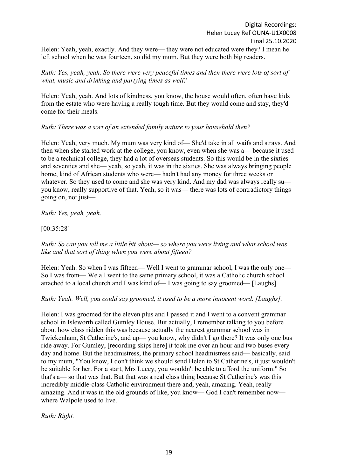Helen: Yeah, yeah, exactly. And they were— they were not educated were they? I mean he left school when he was fourteen, so did my mum. But they were both big readers.

### *Ruth: Yes, yeah, yeah. So there were very peaceful times and then there were lots of sort of what, music and drinking and partying times as well?*

Helen: Yeah, yeah. And lots of kindness, you know, the house would often, often have kids from the estate who were having a really tough time. But they would come and stay, they'd come for their meals.

### *Ruth: There was a sort of an extended family nature to your household then?*

Helen: Yeah, very much. My mum was very kind of— She'd take in all waifs and strays. And then when she started work at the college, you know, even when she was a— because it used to be a technical college, they had a lot of overseas students. So this would be in the sixties and seventies and she— yeah, so yeah, it was in the sixties. She was always bringing people home, kind of African students who were— hadn't had any money for three weeks or whatever. So they used to come and she was very kind. And my dad was always really suyou know, really supportive of that. Yeah, so it was— there was lots of contradictory things going on, not just—

*Ruth: Yes, yeah, yeah.*

# [00:35:28]

*Ruth: So can you tell me a little bit about— so where you were living and what school was like and that sort of thing when you were about fifteen?*

Helen: Yeah. So when I was fifteen— Well I went to grammar school, I was the only one— So I was from— We all went to the same primary school, it was a Catholic church school attached to a local church and I was kind of— I was going to say groomed— [Laughs].

#### *Ruth: Yeah. Well, you could say groomed, it used to be a more innocent word. [Laughs].*

Helen: I was groomed for the eleven plus and I passed it and I went to a convent grammar school in Isleworth called Gumley House. But actually, I remember talking to you before about how class ridden this was because actually the nearest grammar school was in Twickenham, St Catherine's, and up— you know, why didn't I go there? It was only one bus ride away. For Gumley, [recording skips here] it took me over an hour and two buses every day and home. But the headmistress, the primary school headmistress said— basically, said to my mum, "You know, I don't think we should send Helen to St Catherine's, it just wouldn't be suitable for her. For a start, Mrs Lucey, you wouldn't be able to afford the uniform." So that's a— so that was that. But that was a real class thing because St Catherine's was this incredibly middle-class Catholic environment there and, yeah, amazing. Yeah, really amazing. And it was in the old grounds of like, you know— God I can't remember now where Walpole used to live.

*Ruth: Right.*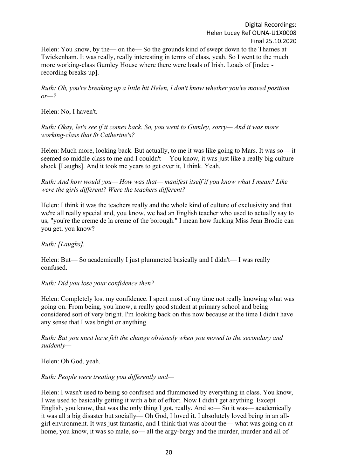Helen: You know, by the— on the— So the grounds kind of swept down to the Thames at Twickenham. It was really, really interesting in terms of class, yeah. So I went to the much more working-class Gumley House where there were loads of Irish. Loads of [indec recording breaks up].

*Ruth: Oh, you're breaking up a little bit Helen, I don't know whether you've moved position or—?*

Helen: No, I haven't.

*Ruth: Okay, let's see if it comes back. So, you went to Gumley, sorry— And it was more working-class that St Catherine's?*

Helen: Much more, looking back. But actually, to me it was like going to Mars. It was so— it seemed so middle-class to me and I couldn't— You know, it was just like a really big culture shock [Laughs]. And it took me years to get over it, I think. Yeah.

*Ruth: And how would you— How was that— manifest itself if you know what I mean? Like were the girls different? Were the teachers different?*

Helen: I think it was the teachers really and the whole kind of culture of exclusivity and that we're all really special and, you know, we had an English teacher who used to actually say to us, "you're the creme de la creme of the borough." I mean how fucking Miss Jean Brodie can you get, you know?

# *Ruth: [Laughs].*

Helen: But— So academically I just plummeted basically and I didn't— I was really confused.

#### *Ruth: Did you lose your confidence then?*

Helen: Completely lost my confidence. I spent most of my time not really knowing what was going on. From being, you know, a really good student at primary school and being considered sort of very bright. I'm looking back on this now because at the time I didn't have any sense that I was bright or anything.

*Ruth: But you must have felt the change obviously when you moved to the secondary and suddenly—*

Helen: Oh God, yeah.

*Ruth: People were treating you differently and—*

Helen: I wasn't used to being so confused and flummoxed by everything in class. You know, I was used to basically getting it with a bit of effort. Now I didn't get anything. Except English, you know, that was the only thing I got, really. And so— So it was— academically it was all a big disaster but socially— Oh God, I loved it. I absolutely loved being in an allgirl environment. It was just fantastic, and I think that was about the— what was going on at home, you know, it was so male, so— all the argy-bargy and the murder, murder and all of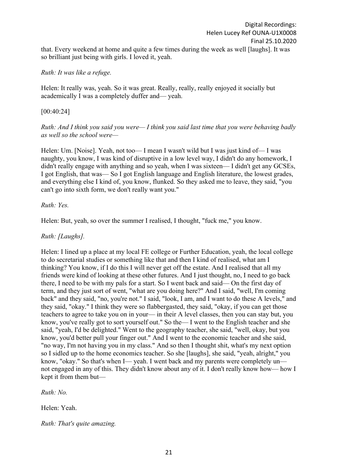that. Every weekend at home and quite a few times during the week as well [laughs]. It was so brilliant just being with girls. I loved it, yeah.

### *Ruth: It was like a refuge.*

Helen: It really was, yeah. So it was great. Really, really, really enjoyed it socially but academically I was a completely duffer and— yeah.

### [00:40:24]

*Ruth: And I think you said you were— I think you said last time that you were behaving badly as well so the school were—*

Helen: Um. [Noise]. Yeah, not too— I mean I wasn't wild but I was just kind of— I was naughty, you know, I was kind of disruptive in a low level way, I didn't do any homework, I didn't really engage with anything and so yeah, when I was sixteen— I didn't get any GCSEs, I got English, that was— So I got English language and English literature, the lowest grades, and everything else I kind of, you know, flunked. So they asked me to leave, they said, "you can't go into sixth form, we don't really want you."

### *Ruth: Yes.*

Helen: But, yeah, so over the summer I realised, I thought, "fuck me," you know.

## *Ruth: [Laughs].*

Helen: I lined up a place at my local FE college or Further Education, yeah, the local college to do secretarial studies or something like that and then I kind of realised, what am I thinking? You know, if I do this I will never get off the estate. And I realised that all my friends were kind of looking at these other futures. And I just thought, no, I need to go back there, I need to be with my pals for a start. So I went back and said— On the first day of term, and they just sort of went, "what are you doing here?" And I said, "well, I'm coming back" and they said, "no, you're not." I said, "look, I am, and I want to do these A levels," and they said, "okay." I think they were so flabbergasted, they said, "okay, if you can get those teachers to agree to take you on in your— in their A level classes, then you can stay but, you know, you've really got to sort yourself out." So the— I went to the English teacher and she said, "yeah, I'd be delighted." Went to the geography teacher, she said, "well, okay, but you know, you'd better pull your finger out." And I went to the economic teacher and she said, "no way, I'm not having you in my class." And so then I thought shit, what's my next option so I sidled up to the home economics teacher. So she [laughs], she said, "yeah, alright," you know, "okay." So that's when I— yeah. I went back and my parents were completely un not engaged in any of this. They didn't know about any of it. I don't really know how— how I kept it from them but—

*Ruth: No.*

Helen: Yeah.

*Ruth: That's quite amazing.*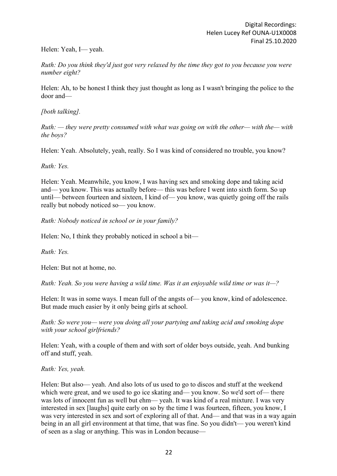## Helen: Yeah, I— yeah.

*Ruth: Do you think they'd just got very relaxed by the time they got to you because you were number eight?*

Helen: Ah, to be honest I think they just thought as long as I wasn't bringing the police to the door and—

*[both talking].*

*Ruth: — they were pretty consumed with what was going on with the other— with the— with the boys?*

Helen: Yeah. Absolutely, yeah, really. So I was kind of considered no trouble, you know?

*Ruth: Yes.*

Helen: Yeah. Meanwhile, you know, I was having sex and smoking dope and taking acid and— you know. This was actually before— this was before I went into sixth form. So up until— between fourteen and sixteen, I kind of— you know, was quietly going off the rails really but nobody noticed so— you know.

*Ruth: Nobody noticed in school or in your family?*

Helen: No, I think they probably noticed in school a bit—

*Ruth: Yes.*

Helen: But not at home, no.

*Ruth: Yeah. So you were having a wild time. Was it an enjoyable wild time or was it—?*

Helen: It was in some ways. I mean full of the angsts of— you know, kind of adolescence. But made much easier by it only being girls at school.

*Ruth: So were you— were you doing all your partying and taking acid and smoking dope with your school girlfriends?*

Helen: Yeah, with a couple of them and with sort of older boys outside, yeah. And bunking off and stuff, yeah.

*Ruth: Yes, yeah.* 

Helen: But also— yeah. And also lots of us used to go to discos and stuff at the weekend which were great, and we used to go ice skating and— you know. So we'd sort of— there was lots of innocent fun as well but ehm— yeah. It was kind of a real mixture. I was very interested in sex [laughs] quite early on so by the time I was fourteen, fifteen, you know, I was very interested in sex and sort of exploring all of that. And— and that was in a way again being in an all girl environment at that time, that was fine. So you didn't— you weren't kind of seen as a slag or anything. This was in London because—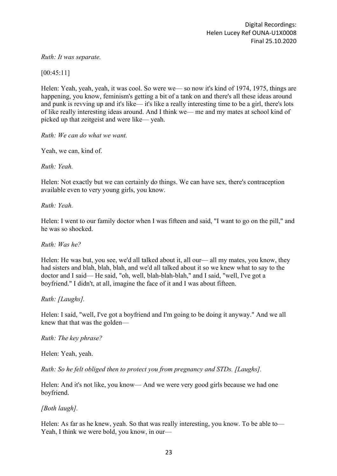### *Ruth: It was separate.*

[00:45:11]

Helen: Yeah, yeah, yeah, it was cool. So were we— so now it's kind of 1974, 1975, things are happening, you know, feminism's getting a bit of a tank on and there's all these ideas around and punk is revving up and it's like— it's like a really interesting time to be a girl, there's lots of like really interesting ideas around. And I think we— me and my mates at school kind of picked up that zeitgeist and were like— yeah.

*Ruth: We can do what we want.*

Yeah, we can, kind of.

*Ruth: Yeah.*

Helen: Not exactly but we can certainly do things. We can have sex, there's contraception available even to very young girls, you know.

*Ruth: Yeah.*

Helen: I went to our family doctor when I was fifteen and said, "I want to go on the pill," and he was so shocked.

*Ruth: Was he?*

Helen: He was but, you see, we'd all talked about it, all our— all my mates, you know, they had sisters and blah, blah, blah, and we'd all talked about it so we knew what to say to the doctor and I said— He said, "oh, well, blah-blah-blah," and I said, "well, I've got a boyfriend." I didn't, at all, imagine the face of it and I was about fifteen.

*Ruth: [Laughs].*

Helen: I said, "well, I've got a boyfriend and I'm going to be doing it anyway." And we all knew that that was the golden—

*Ruth: The key phrase?*

Helen: Yeah, yeah.

*Ruth: So he felt obliged then to protect you from pregnancy and STDs. [Laughs].* 

Helen: And it's not like, you know— And we were very good girls because we had one boyfriend.

*[Both laugh].*

Helen: As far as he knew, yeah. So that was really interesting, you know. To be able to— Yeah, I think we were bold, you know, in our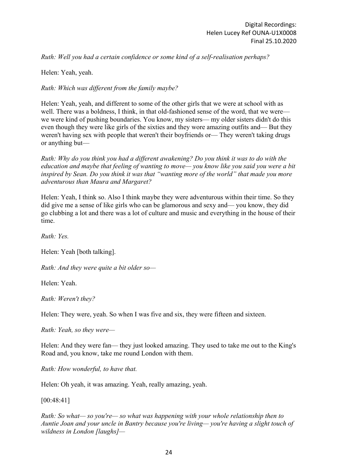*Ruth: Well you had a certain confidence or some kind of a self-realisation perhaps?*

Helen: Yeah, yeah.

*Ruth: Which was different from the family maybe?*

Helen: Yeah, yeah, and different to some of the other girls that we were at school with as well. There was a boldness, I think, in that old-fashioned sense of the word, that we were we were kind of pushing boundaries. You know, my sisters— my older sisters didn't do this even though they were like girls of the sixties and they wore amazing outfits and— But they weren't having sex with people that weren't their boyfriends or— They weren't taking drugs or anything but—

*Ruth: Why do you think you had a different awakening? Do you think it was to do with the education and maybe that feeling of wanting to move— you know like you said you were a bit inspired by Sean. Do you think it was that "wanting more of the world" that made you more adventurous than Maura and Margaret?*

Helen: Yeah, I think so. Also I think maybe they were adventurous within their time. So they did give me a sense of like girls who can be glamorous and sexy and— you know, they did go clubbing a lot and there was a lot of culture and music and everything in the house of their time.

*Ruth: Yes.*

Helen: Yeah [both talking].

*Ruth: And they were quite a bit older so—*

Helen: Yeah.

*Ruth: Weren't they?*

Helen: They were, yeah. So when I was five and six, they were fifteen and sixteen.

*Ruth: Yeah, so they were—*

Helen: And they were fan— they just looked amazing. They used to take me out to the King's Road and, you know, take me round London with them.

*Ruth: How wonderful, to have that.*

Helen: Oh yeah, it was amazing. Yeah, really amazing, yeah.

[00:48:41]

*Ruth: So what— so you're— so what was happening with your whole relationship then to Auntie Joan and your uncle in Bantry because you're living— you're having a slight touch of wildness in London [laughs]—*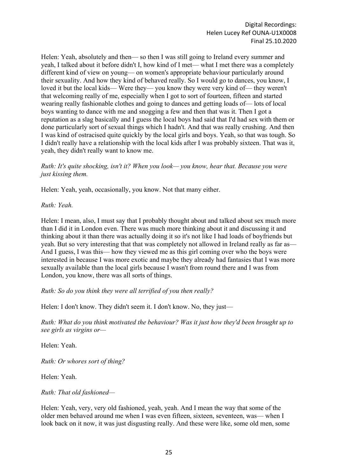Helen: Yeah, absolutely and then— so then I was still going to Ireland every summer and yeah, I talked about it before didn't I, how kind of I met— what I met there was a completely different kind of view on young— on women's appropriate behaviour particularly around their sexuality. And how they kind of behaved really. So I would go to dances, you know, I loved it but the local kids— Were they— you know they were very kind of— they weren't that welcoming really of me, especially when I got to sort of fourteen, fifteen and started wearing really fashionable clothes and going to dances and getting loads of— lots of local boys wanting to dance with me and snogging a few and then that was it. Then I got a reputation as a slag basically and I guess the local boys had said that I'd had sex with them or done particularly sort of sexual things which I hadn't. And that was really crushing. And then I was kind of ostracised quite quickly by the local girls and boys. Yeah, so that was tough. So I didn't really have a relationship with the local kids after I was probably sixteen. That was it, yeah, they didn't really want to know me.

*Ruth: It's quite shocking, isn't it? When you look— you know, hear that. Because you were just kissing them.*

Helen: Yeah, yeah, occasionally, you know. Not that many either.

*Ruth: Yeah.*

Helen: I mean, also, I must say that I probably thought about and talked about sex much more than I did it in London even. There was much more thinking about it and discussing it and thinking about it than there was actually doing it so it's not like I had loads of boyfriends but yeah. But so very interesting that that was completely not allowed in Ireland really as far as— And I guess, I was this— how they viewed me as this girl coming over who the boys were interested in because I was more exotic and maybe they already had fantasies that I was more sexually available than the local girls because I wasn't from round there and I was from London, you know, there was all sorts of things.

*Ruth: So do you think they were all terrified of you then really?*

Helen: I don't know. They didn't seem it. I don't know. No, they just—

*Ruth: What do you think motivated the behaviour? Was it just how they'd been brought up to see girls as virgins or—*

Helen: Yeah.

*Ruth: Or whores sort of thing?*

Helen: Yeah.

*Ruth: That old fashioned—*

Helen: Yeah, very, very old fashioned, yeah, yeah. And I mean the way that some of the older men behaved around me when I was even fifteen, sixteen, seventeen, was— when I look back on it now, it was just disgusting really. And these were like, some old men, some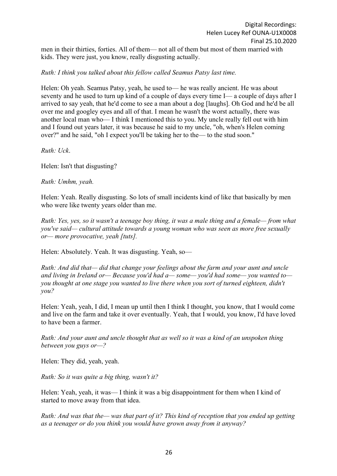men in their thirties, forties. All of them— not all of them but most of them married with kids. They were just, you know, really disgusting actually.

## *Ruth: I think you talked about this fellow called Seamus Patsy last time.*

Helen: Oh yeah. Seamus Patsy, yeah, he used to— he was really ancient. He was about seventy and he used to turn up kind of a couple of days every time I— a couple of days after I arrived to say yeah, that he'd come to see a man about a dog [laughs]. Oh God and he'd be all over me and googley eyes and all of that. I mean he wasn't the worst actually, there was another local man who— I think I mentioned this to you. My uncle really fell out with him and I found out years later, it was because he said to my uncle, "oh, when's Helen coming over?" and he said, "oh I expect you'll be taking her to the— to the stud soon."

*Ruth: Uck*.

Helen: Isn't that disgusting?

*Ruth: Umhm, yeah.*

Helen: Yeah. Really disgusting. So lots of small incidents kind of like that basically by men who were like twenty years older than me.

*Ruth: Yes, yes, so it wasn't a teenage boy thing, it was a male thing and a female— from what you've said— cultural attitude towards a young woman who was seen as more free sexually or— more provocative, yeah [tuts].*

Helen: Absolutely. Yeah. It was disgusting. Yeah, so—

*Ruth: And did that— did that change your feelings about the farm and your aunt and uncle and living in Ireland or— Because you'd had a— some— you'd had some— you wanted to you thought at one stage you wanted to live there when you sort of turned eighteen, didn't you?*

Helen: Yeah, yeah, I did, I mean up until then I think I thought, you know, that I would come and live on the farm and take it over eventually. Yeah, that I would, you know, I'd have loved to have been a farmer.

*Ruth: And your aunt and uncle thought that as well so it was a kind of an unspoken thing between you guys or—?*

Helen: They did, yeah, yeah.

*Ruth: So it was quite a big thing, wasn't it?*

Helen: Yeah, yeah, it was— I think it was a big disappointment for them when I kind of started to move away from that idea.

*Ruth: And was that the— was that part of it? This kind of reception that you ended up getting as a teenager or do you think you would have grown away from it anyway?*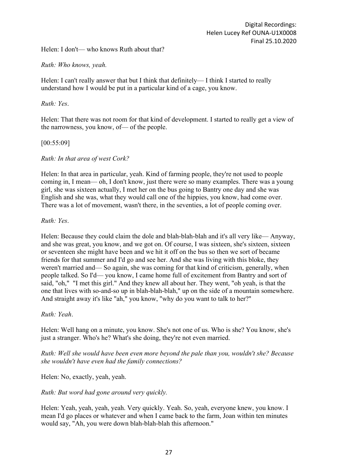Helen: I don't— who knows Ruth about that?

*Ruth: Who knows, yeah.*

Helen: I can't really answer that but I think that definitely— I think I started to really understand how I would be put in a particular kind of a cage, you know.

### *Ruth: Yes*.

Helen: That there was not room for that kind of development. I started to really get a view of the narrowness, you know, of— of the people.

### [00:55:09]

*Ruth: In that area of west Cork?*

Helen: In that area in particular, yeah. Kind of farming people, they're not used to people coming in, I mean— oh, I don't know, just there were so many examples. There was a young girl, she was sixteen actually, I met her on the bus going to Bantry one day and she was English and she was, what they would call one of the hippies, you know, had come over. There was a lot of movement, wasn't there, in the seventies, a lot of people coming over.

### *Ruth: Yes*.

Helen: Because they could claim the dole and blah-blah-blah and it's all very like— Anyway, and she was great, you know, and we got on. Of course, I was sixteen, she's sixteen, sixteen or seventeen she might have been and we hit it off on the bus so then we sort of became friends for that summer and I'd go and see her. And she was living with this bloke, they weren't married and— So again, she was coming for that kind of criticism, generally, when people talked. So I'd— you know, I came home full of excitement from Bantry and sort of said, "oh," "I met this girl." And they knew all about her. They went, "oh yeah, is that the one that lives with so-and-so up in blah-blah-blah," up on the side of a mountain somewhere. And straight away it's like "ah," you know, "why do you want to talk to her?"

# *Ruth: Yeah*.

Helen: Well hang on a minute, you know. She's not one of us. Who is she? You know, she's just a stranger. Who's he? What's she doing, they're not even married.

### *Ruth: Well she would have been even more beyond the pale than you, wouldn't she? Because she wouldn't have even had the family connections?*

Helen: No, exactly, yeah, yeah.

*Ruth: But word had gone around very quickly.*

Helen: Yeah, yeah, yeah, yeah. Very quickly. Yeah. So, yeah, everyone knew, you know. I mean I'd go places or whatever and when I came back to the farm, Joan within ten minutes would say, "Ah, you were down blah-blah-blah this afternoon."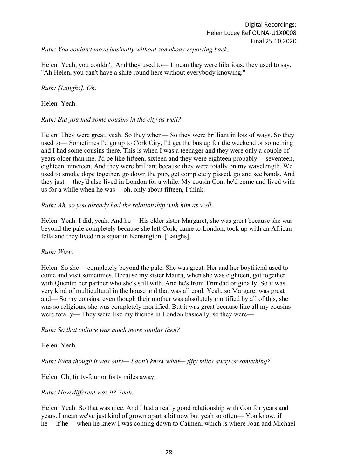*Ruth: You couldn't move basically without somebody reporting back.*

Helen: Yeah, you couldn't. And they used to— I mean they were hilarious, they used to say, "Ah Helen, you can't have a shite round here without everybody knowing."

### *Ruth: [Laughs]. Oh.*

#### Helen: Yeah.

#### *Ruth: But you had some cousins in the city as well?*

Helen: They were great, yeah. So they when— So they were brilliant in lots of ways. So they used to— Sometimes I'd go up to Cork City, I'd get the bus up for the weekend or something and I had some cousins there. This is when I was a teenager and they were only a couple of years older than me. I'd be like fifteen, sixteen and they were eighteen probably— seventeen, eighteen, nineteen. And they were brilliant because they were totally on my wavelength. We used to smoke dope together, go down the pub, get completely pissed, go and see bands. And they just— they'd also lived in London for a while. My cousin Con, he'd come and lived with us for a while when he was— oh, only about fifteen, I think.

#### *Ruth: Ah, so you already had the relationship with him as well.*

Helen: Yeah. I did, yeah. And he— His elder sister Margaret, she was great because she was beyond the pale completely because she left Cork, came to London, took up with an African fella and they lived in a squat in Kensington. [Laughs].

#### *Ruth: Wow*.

Helen: So she— completely beyond the pale. She was great. Her and her boyfriend used to come and visit sometimes. Because my sister Maura, when she was eighteen, got together with Quentin her partner who she's still with. And he's from Trinidad originally. So it was very kind of multicultural in the house and that was all cool. Yeah, so Margaret was great and— So my cousins, even though their mother was absolutely mortified by all of this, she was so religious, she was completely mortified. But it was great because like all my cousins were totally— They were like my friends in London basically, so they were—

#### *Ruth: So that culture was much more similar then?*

#### Helen: Yeah.

*Ruth: Even though it was only— I don't know what— fifty miles away or something?*

Helen: Oh, forty-four or forty miles away.

#### *Ruth: How different was it? Yeah.*

Helen: Yeah. So that was nice. And I had a really good relationship with Con for years and years. I mean we've just kind of grown apart a bit now but yeah so often— You know, if he— if he— when he knew I was coming down to Caimeni which is where Joan and Michael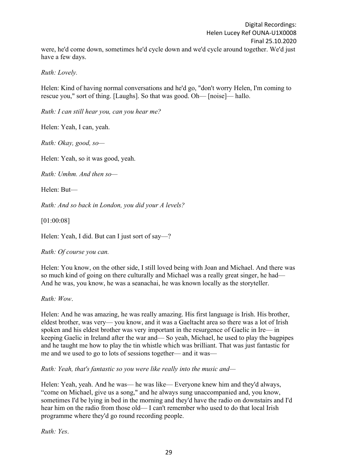Digital Recordings: Helen Lucey Ref OUNA-U1X0008 Final 25.10.2020 were, he'd come down, sometimes he'd cycle down and we'd cycle around together. We'd just have a few days.

*Ruth: Lovely.*

Helen: Kind of having normal conversations and he'd go, "don't worry Helen, I'm coming to rescue you," sort of thing. [Laughs]. So that was good. Oh— [noise]— hallo.

*Ruth: I can still hear you, can you hear me?*

Helen: Yeah, I can, yeah.

*Ruth: Okay, good, so—*

Helen: Yeah, so it was good, yeah.

*Ruth: Umhm. And then so—*

Helen: But—

*Ruth: And so back in London, you did your A levels?*

[01:00:08]

Helen: Yeah, I did. But can I just sort of say—?

*Ruth: Of course you can.*

Helen: You know, on the other side, I still loved being with Joan and Michael. And there was so much kind of going on there culturally and Michael was a really great singer, he had— And he was, you know, he was a seanachai, he was known locally as the storyteller.

*Ruth: Wow*.

Helen: And he was amazing, he was really amazing. His first language is Irish. His brother, eldest brother, was very— you know, and it was a Gaeltacht area so there was a lot of Irish spoken and his eldest brother was very important in the resurgence of Gaelic in Ire— in keeping Gaelic in Ireland after the war and— So yeah, Michael, he used to play the bagpipes and he taught me how to play the tin whistle which was brilliant. That was just fantastic for me and we used to go to lots of sessions together— and it was—

*Ruth: Yeah, that's fantastic so you were like really into the music and—*

Helen: Yeah, yeah. And he was— he was like— Everyone knew him and they'd always, "come on Michael, give us a song," and he always sung unaccompanied and, you know, sometimes I'd be lying in bed in the morning and they'd have the radio on downstairs and I'd hear him on the radio from those old— I can't remember who used to do that local Irish programme where they'd go round recording people.

*Ruth: Yes*.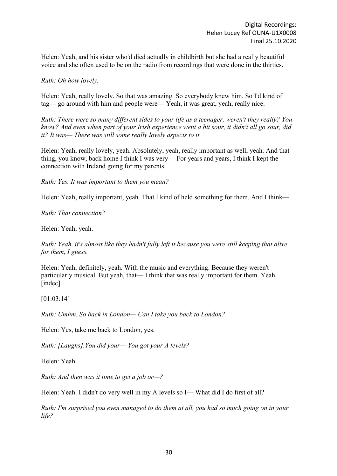Helen: Yeah, and his sister who'd died actually in childbirth but she had a really beautiful voice and she often used to be on the radio from recordings that were done in the thirties.

*Ruth: Oh how lovely.*

Helen: Yeah, really lovely. So that was amazing. So everybody knew him. So I'd kind of tag— go around with him and people were— Yeah, it was great, yeah, really nice.

*Ruth: There were so many different sides to your life as a teenager, weren't they really? You know? And even when part of your Irish experience went a bit sour, it didn't all go sour, did it? It was— There was still some really lovely aspects to it.*

Helen: Yeah, really lovely, yeah. Absolutely, yeah, really important as well, yeah. And that thing, you know, back home I think I was very— For years and years, I think I kept the connection with Ireland going for my parents.

*Ruth: Yes. It was important to them you mean?*

Helen: Yeah, really important, yeah. That I kind of held something for them. And I think—

*Ruth: That connection?*

Helen: Yeah, yeah.

*Ruth: Yeah, it's almost like they hadn't fully left it because you were still keeping that alive for them, I guess.*

Helen: Yeah, definitely, yeah. With the music and everything. Because they weren't particularly musical. But yeah, that— I think that was really important for them. Yeah. [indec].

[01:03:14]

*Ruth: Umhm. So back in London— Can I take you back to London?*

Helen: Yes, take me back to London, yes.

*Ruth: [Laughs].You did your— You got your A levels?*

Helen: Yeah.

*Ruth: And then was it time to get a job or—?*

Helen: Yeah. I didn't do very well in my A levels so I— What did I do first of all?

*Ruth: I'm surprised you even managed to do them at all, you had so much going on in your life?*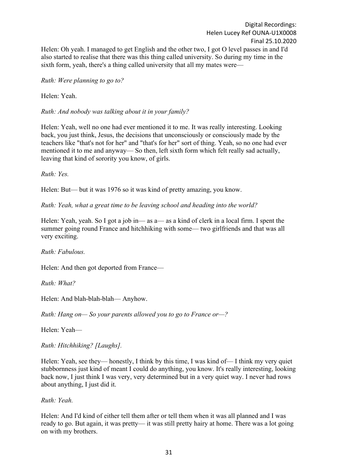Helen: Oh yeah. I managed to get English and the other two, I got O level passes in and I'd also started to realise that there was this thing called university. So during my time in the sixth form, yeah, there's a thing called university that all my mates were—

*Ruth: Were planning to go to?*

Helen: Yeah.

*Ruth: And nobody was talking about it in your family?*

Helen: Yeah, well no one had ever mentioned it to me. It was really interesting. Looking back, you just think, Jesus, the decisions that unconsciously or consciously made by the teachers like "that's not for her" and "that's for her" sort of thing. Yeah, so no one had ever mentioned it to me and anyway— So then, left sixth form which felt really sad actually, leaving that kind of sorority you know, of girls.

*Ruth: Yes.*

Helen: But— but it was 1976 so it was kind of pretty amazing, you know.

*Ruth: Yeah, what a great time to be leaving school and heading into the world?*

Helen: Yeah, yeah. So I got a job in— as a— as a kind of clerk in a local firm. I spent the summer going round France and hitchhiking with some— two girlfriends and that was all very exciting.

*Ruth: Fabulous.*

Helen: And then got deported from France—

*Ruth: What?*

Helen: And blah-blah-blah— Anyhow.

*Ruth: Hang on— So your parents allowed you to go to France or—?*

Helen: Yeah—

*Ruth: Hitchhiking? [Laughs].*

Helen: Yeah, see they— honestly, I think by this time, I was kind of—I think my very quiet stubbornness just kind of meant I could do anything, you know. It's really interesting, looking back now, I just think I was very, very determined but in a very quiet way. I never had rows about anything, I just did it.

*Ruth: Yeah.*

Helen: And I'd kind of either tell them after or tell them when it was all planned and I was ready to go. But again, it was pretty— it was still pretty hairy at home. There was a lot going on with my brothers.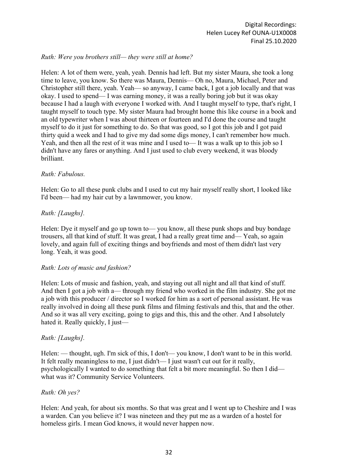## *Ruth: Were you brothers still— they were still at home?*

Helen: A lot of them were, yeah, yeah. Dennis had left. But my sister Maura, she took a long time to leave, you know. So there was Maura, Dennis— Oh no, Maura, Michael, Peter and Christopher still there, yeah. Yeah— so anyway, I came back, I got a job locally and that was okay. I used to spend— I was earning money, it was a really boring job but it was okay because I had a laugh with everyone I worked with. And I taught myself to type, that's right, I taught myself to touch type. My sister Maura had brought home this like course in a book and an old typewriter when I was about thirteen or fourteen and I'd done the course and taught myself to do it just for something to do. So that was good, so I got this job and I got paid thirty quid a week and I had to give my dad some digs money, I can't remember how much. Yeah, and then all the rest of it was mine and I used to— It was a walk up to this job so I didn't have any fares or anything. And I just used to club every weekend, it was bloody brilliant.

#### *Ruth: Fabulous.*

Helen: Go to all these punk clubs and I used to cut my hair myself really short, I looked like I'd been— had my hair cut by a lawnmower, you know.

#### *Ruth: [Laughs].*

Helen: Dye it myself and go up town to— you know, all these punk shops and buy bondage trousers, all that kind of stuff. It was great, I had a really great time and— Yeah, so again lovely, and again full of exciting things and boyfriends and most of them didn't last very long. Yeah, it was good.

#### *Ruth: Lots of music and fashion?*

Helen: Lots of music and fashion, yeah, and staying out all night and all that kind of stuff. And then I got a job with a— through my friend who worked in the film industry. She got me a job with this producer / director so I worked for him as a sort of personal assistant. He was really involved in doing all these punk films and filming festivals and this, that and the other. And so it was all very exciting, going to gigs and this, this and the other. And I absolutely hated it. Really quickly, I just—

#### *Ruth: [Laughs].*

Helen: — thought, ugh. I'm sick of this, I don't— you know, I don't want to be in this world. It felt really meaningless to me, I just didn't— I just wasn't cut out for it really, psychologically I wanted to do something that felt a bit more meaningful. So then I did what was it? Community Service Volunteers.

#### *Ruth: Oh yes?*

Helen: And yeah, for about six months. So that was great and I went up to Cheshire and I was a warden. Can you believe it? I was nineteen and they put me as a warden of a hostel for homeless girls. I mean God knows, it would never happen now.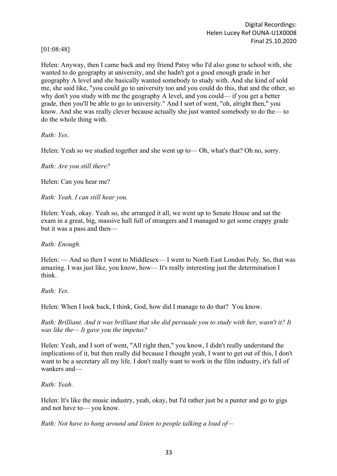[01:08:48]

Helen: Anyway, then I came back and my friend Patsy who I'd also gone to school with, she wanted to do geography at university, and she hadn't got a good enough grade in her geography A level and she basically wanted somebody to study with. And she kind of sold me, she said like, "you could go to university too and you could do this, that and the other, so why don't you study with me the geography A level, and you could— if you get a better grade, then you'll be able to go to university." And I sort of went, "oh, alright then," you know. And she was really clever because actually she just wanted somebody to do the— to do the whole thing with.

*Ruth: Yes*.

Helen: Yeah so we studied together and she went up to— Oh, what's that? Oh no, sorry.

*Ruth: Are you still there?*

Helen: Can you hear me?

*Ruth: Yeah, I can still hear you.*

Helen: Yeah, okay. Yeah so, she arranged it all, we went up to Senate House and sat the exam in a great, big, massive hall full of strangers and I managed to get some crappy grade but it was a pass and then—

*Ruth: Enough.*

Helen: — And so then I went to Middlesex— I went to North East London Poly. So, that was amazing. I was just like, you know, how— It's really interesting just the determination I think.

*Ruth: Yes*.

Helen: When I look back, I think, God, how did I manage to do that? You know.

*Ruth: Brilliant. And it was brilliant that she did persuade you to study with her, wasn't it? It was like the— It gave you the impetus?*

Helen: Yeah, and I sort of went, "All right then," you know, I didn't really understand the implications of it, but then really did because I thought yeah, I want to get out of this, I don't want to be a secretary all my life. I don't really want to work in the film industry, it's full of wankers and—

*Ruth: Yeah.*

Helen: It's like the music industry, yeah, okay, but I'd rather just be a punter and go to gigs and not have to— you know.

*Ruth: Not have to hang around and listen to people talking a load of—*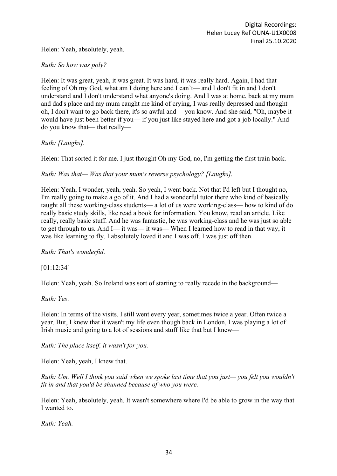Helen: Yeah, absolutely, yeah.

*Ruth: So how was poly?*

Helen: It was great, yeah, it was great. It was hard, it was really hard. Again, I had that feeling of Oh my God, what am I doing here and I can't— and I don't fit in and I don't understand and I don't understand what anyone's doing. And I was at home, back at my mum and dad's place and my mum caught me kind of crying, I was really depressed and thought oh, I don't want to go back there, it's so awful and— you know. And she said, "Oh, maybe it would have just been better if you— if you just like stayed here and got a job locally." And do you know that— that really—

*Ruth: [Laughs].*

Helen: That sorted it for me. I just thought Oh my God, no, I'm getting the first train back.

*Ruth: Was that— Was that your mum's reverse psychology? [Laughs].*

Helen: Yeah, I wonder, yeah, yeah. So yeah, I went back. Not that I'd left but I thought no, I'm really going to make a go of it. And I had a wonderful tutor there who kind of basically taught all these working-class students— a lot of us were working-class— how to kind of do really basic study skills, like read a book for information. You know, read an article. Like really, really basic stuff. And he was fantastic, he was working-class and he was just so able to get through to us. And I— it was— it was— When I learned how to read in that way, it was like learning to fly. I absolutely loved it and I was off, I was just off then.

*Ruth: That's wonderful.*

[01:12:34]

Helen: Yeah, yeah. So Ireland was sort of starting to really recede in the background—

*Ruth: Yes*.

Helen: In terms of the visits. I still went every year, sometimes twice a year. Often twice a year. But, I knew that it wasn't my life even though back in London, I was playing a lot of Irish music and going to a lot of sessions and stuff like that but I knew—

*Ruth: The place itself, it wasn't for you.*

Helen: Yeah, yeah, I knew that.

*Ruth: Um. Well I think you said when we spoke last time that you just— you felt you wouldn't fit in and that you'd be shunned because of who you were.*

Helen: Yeah, absolutely, yeah. It wasn't somewhere where I'd be able to grow in the way that I wanted to.

*Ruth: Yeah.*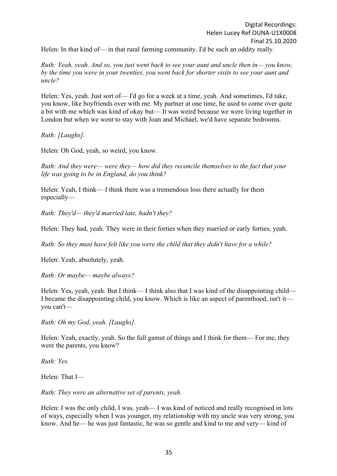Helen: In that kind of— in that rural farming community. I'd be such an oddity really.

*Ruth: Yeah, yeah. And so, you just went back to see your aunt and uncle then in— you know, by the time you were in your twenties, you went back for shorter visits to see your aunt and uncle?*

Helen: Yes, yeah. Just sort of— I'd go for a week at a time, yeah. And sometimes, I'd take, you know, like boyfriends over with me. My partner at one time, he used to come over quite a bit with me which was kind of okay but— It was weird because we were living together in London but when we went to stay with Joan and Michael, we'd have separate bedrooms.

*Ruth: [Laughs].*

Helen: Oh God, yeah, so weird, you know.

*Ruth: And they were— were they— how did they reconcile themselves to the fact that your life was going to be in England, do you think?*

Helen: Yeah, I think— I think there was a tremendous loss there actually for them especially—

*Ruth: They'd— they'd married late, hadn't they?*

Helen: They had, yeah. They were in their forties when they married or early forties, yeah.

*Ruth: So they must have felt like you were the child that they didn't have for a while?*

Helen: Yeah, absolutely, yeah.

*Ruth: Or maybe— maybe always?*

Helen: Yes, yeah, yeah. But I think— I think also that I was kind of the disappointing child— I became the disappointing child, you know. Which is like an aspect of parenthood, isn't it you can't—

*Ruth: Oh my God, yeah. [Laughs].*

Helen: Yeah, exactly, yeah. So the full gamut of things and I think for them— For me, they were the parents, you know?

*Ruth: Yes.*

Helen: That I—

*Ruth: They were an alternative set of parents, yeah.*

Helen: I was the only child, I was, yeah— I was kind of noticed and really recognised in lots of ways, especially when I was younger, my relationship with my uncle was very strong, you know. And he— he was just fantastic, he was so gentle and kind to me and very— kind of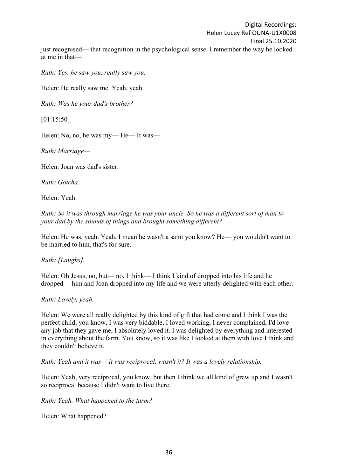Digital Recordings: Helen Lucey Ref OUNA-U1X0008 Final 25.10.2020 just recognised— that recognition in the psychological sense. I remember the way he looked at me in that—

*Ruth: Yes, he saw you, really saw you.*

Helen: He really saw me. Yeah, yeah.

*Ruth: Was he your dad's brother?*

[01:15:50]

Helen: No, no, he was my— He— It was—

*Ruth: Marriage—*

Helen: Joan was dad's sister.

*Ruth: Gotcha.*

Helen: Yeah.

*Ruth: So it was through marriage he was your uncle. So he was a different sort of man to your dad by the sounds of things and brought something different?*

Helen: He was, yeah. Yeah, I mean he wasn't a saint you know? He— you wouldn't want to be married to him, that's for sure.

*Ruth: [Laughs].*

Helen: Oh Jesus, no, but— no, I think— I think I kind of dropped into his life and he dropped— him and Joan dropped into my life and we were utterly delighted with each other.

*Ruth: Lovely, yeah.*

Helen: We were all really delighted by this kind of gift that had come and I think I was the perfect child, you know, I was very biddable, I loved working, I never complained, I'd love any job that they gave me, I absolutely loved it. I was delighted by everything and interested in everything about the farm. You know, so it was like I looked at them with love I think and they couldn't believe it.

*Ruth: Yeah and it was— it was reciprocal, wasn't it? It was a lovely relationship.*

Helen: Yeah, very reciprocal, you know, but then I think we all kind of grew up and I wasn't so reciprocal because I didn't want to live there.

*Ruth: Yeah. What happened to the farm?*

Helen: What happened?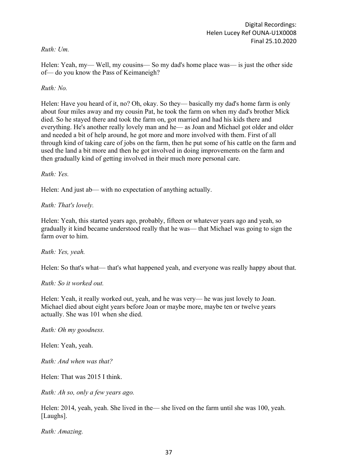# *Ruth: Um.*

Helen: Yeah, my— Well, my cousins— So my dad's home place was— is just the other side of— do you know the Pass of Keimaneigh?

# *Ruth: No.*

Helen: Have you heard of it, no? Oh, okay. So they— basically my dad's home farm is only about four miles away and my cousin Pat, he took the farm on when my dad's brother Mick died. So he stayed there and took the farm on, got married and had his kids there and everything. He's another really lovely man and he— as Joan and Michael got older and older and needed a bit of help around, he got more and more involved with them. First of all through kind of taking care of jobs on the farm, then he put some of his cattle on the farm and used the land a bit more and then he got involved in doing improvements on the farm and then gradually kind of getting involved in their much more personal care.

*Ruth: Yes.*

Helen: And just ab— with no expectation of anything actually.

*Ruth: That's lovely.*

Helen: Yeah, this started years ago, probably, fifteen or whatever years ago and yeah, so gradually it kind became understood really that he was— that Michael was going to sign the farm over to him.

*Ruth: Yes, yeah.*

Helen: So that's what— that's what happened yeah, and everyone was really happy about that.

*Ruth: So it worked out.*

Helen: Yeah, it really worked out, yeah, and he was very— he was just lovely to Joan. Michael died about eight years before Joan or maybe more, maybe ten or twelve years actually. She was 101 when she died.

*Ruth: Oh my goodness.*

Helen: Yeah, yeah.

*Ruth: And when was that?*

Helen: That was 2015 I think.

*Ruth: Ah so, only a few years ago.*

Helen: 2014, yeah, yeah. She lived in the— she lived on the farm until she was 100, yeah. [Laughs].

*Ruth: Amazing.*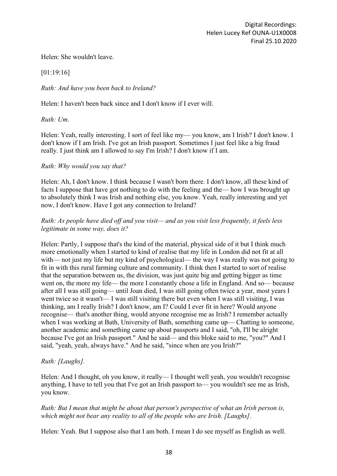Helen: She wouldn't leave.

[01:19:16]

# *Ruth: And have you been back to Ireland?*

Helen: I haven't been back since and I don't know if I ever will.

*Ruth: Um.*

Helen: Yeah, really interesting. I sort of feel like my— you know, am I Irish? I don't know. I don't know if I am Irish. I've got an Irish passport. Sometimes I just feel like a big fraud really. I just think am I allowed to say I'm Irish? I don't know if I am.

# *Ruth: Why would you say that?*

Helen: Ah, I don't know. I think because I wasn't born there. I don't know, all these kind of facts I suppose that have got nothing to do with the feeling and the— how I was brought up to absolutely think I was Irish and nothing else, you know. Yeah, really interesting and yet now, I don't know. Have I got any connection to Ireland?

# *Ruth: As people have died off and you visit— and as you visit less frequently, it feels less legitimate in some way, does it?*

Helen: Partly, I suppose that's the kind of the material, physical side of it but I think much more emotionally when I started to kind of realise that my life in London did not fit at all with— not just my life but my kind of psychological— the way I was really was not going to fit in with this rural farming culture and community. I think then I started to sort of realise that the separation between us, the division, was just quite big and getting bigger as time went on, the more my life— the more I constantly chose a life in England. And so— because after all I was still going— until Joan died, I was still going often twice a year, most years I went twice so it wasn't— I was still visiting there but even when I was still visiting, I was thinking, am I really Irish? I don't know, am I? Could I ever fit in here? Would anyone recognise— that's another thing, would anyone recognise me as Irish? I remember actually when I was working at Bath, University of Bath, something came up— Chatting to someone, another academic and something came up about passports and I said, "oh, I'll be alright because I've got an Irish passport." And he said— and this bloke said to me, "you?" And I said, "yeah, yeah, always have." And he said, "since when are you Irish?"

# *Ruth: [Laughs].*

Helen: And I thought, oh you know, it really— I thought well yeah, you wouldn't recognise anything, I have to tell you that I've got an Irish passport to— you wouldn't see me as Irish, you know.

### *Ruth: But I mean that might be about that person's perspective of what an Irish person is, which might not bear any reality to all of the people who are Irish. [Laughs].*

Helen: Yeah. But I suppose also that I am both. I mean I do see myself as English as well.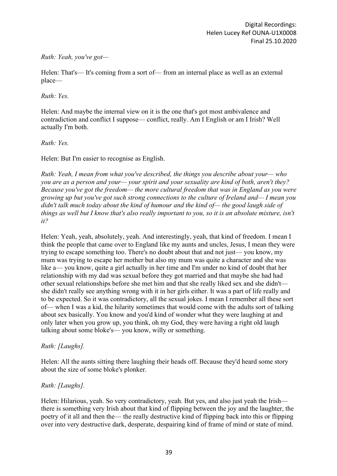### *Ruth: Yeah, you've got—*

Helen: That's— It's coming from a sort of— from an internal place as well as an external place—

### *Ruth: Yes.*

Helen: And maybe the internal view on it is the one that's got most ambivalence and contradiction and conflict I suppose— conflict, really. Am I English or am I Irish? Well actually I'm both.

### *Ruth: Yes.*

Helen: But I'm easier to recognise as English.

*Ruth: Yeah, I mean from what you've described, the things you describe about your— who you are as a person and your— your spirit and your sexuality are kind of both, aren't they? Because you've got the freedom— the more cultural freedom that was in England as you were growing up but you've got such strong connections to the culture of Ireland and— I mean you didn't talk much today about the kind of humour and the kind of— the good laugh side of things as well but I know that's also really important to you, so it is an absolute mixture, isn't it?*

Helen: Yeah, yeah, absolutely, yeah. And interestingly, yeah, that kind of freedom. I mean I think the people that came over to England like my aunts and uncles, Jesus, I mean they were trying to escape something too. There's no doubt about that and not just— you know, my mum was trying to escape her mother but also my mum was quite a character and she was like a— you know, quite a girl actually in her time and I'm under no kind of doubt that her relationship with my dad was sexual before they got married and that maybe she had had other sexual relationships before she met him and that she really liked sex and she didn't she didn't really see anything wrong with it in her girls either. It was a part of life really and to be expected. So it was contradictory, all the sexual jokes. I mean I remember all these sort of— when I was a kid, the hilarity sometimes that would come with the adults sort of talking about sex basically. You know and you'd kind of wonder what they were laughing at and only later when you grow up, you think, oh my God, they were having a right old laugh talking about some bloke's— you know, willy or something.

# *Ruth: [Laughs].*

Helen: All the aunts sitting there laughing their heads off. Because they'd heard some story about the size of some bloke's plonker.

# *Ruth: [Laughs].*

Helen: Hilarious, yeah. So very contradictory, yeah. But yes, and also just yeah the Irish there is something very Irish about that kind of flipping between the joy and the laughter, the poetry of it all and then the— the really destructive kind of flipping back into this or flipping over into very destructive dark, desperate, despairing kind of frame of mind or state of mind.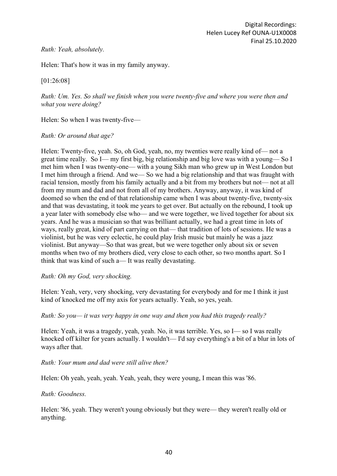### *Ruth: Yeah, absolutely.*

Helen: That's how it was in my family anyway.

# [01:26:08]

*Ruth: Um. Yes. So shall we finish when you were twenty-five and where you were then and what you were doing?*

Helen: So when I was twenty-five—

*Ruth: Or around that age?*

Helen: Twenty-five, yeah. So, oh God, yeah, no, my twenties were really kind of— not a great time really. So I— my first big, big relationship and big love was with a young— So I met him when I was twenty-one— with a young Sikh man who grew up in West London but I met him through a friend. And we— So we had a big relationship and that was fraught with racial tension, mostly from his family actually and a bit from my brothers but not— not at all from my mum and dad and not from all of my brothers. Anyway, anyway, it was kind of doomed so when the end of that relationship came when I was about twenty-five, twenty-six and that was devastating, it took me years to get over. But actually on the rebound, I took up a year later with somebody else who— and we were together, we lived together for about six years. And he was a musician so that was brilliant actually, we had a great time in lots of ways, really great, kind of part carrying on that— that tradition of lots of sessions. He was a violinist, but he was very eclectic, he could play Irish music but mainly he was a jazz violinist. But anyway—So that was great, but we were together only about six or seven months when two of my brothers died, very close to each other, so two months apart. So I think that was kind of such a— It was really devastating.

# *Ruth: Oh my God, very shocking.*

Helen: Yeah, very, very shocking, very devastating for everybody and for me I think it just kind of knocked me off my axis for years actually. Yeah, so yes, yeah.

#### *Ruth: So you— it was very happy in one way and then you had this tragedy really?*

Helen: Yeah, it was a tragedy, yeah, yeah. No, it was terrible. Yes, so I— so I was really knocked off kilter for years actually. I wouldn't— I'd say everything's a bit of a blur in lots of ways after that.

# *Ruth: Your mum and dad were still alive then?*

Helen: Oh yeah, yeah, yeah. Yeah, yeah, they were young, I mean this was '86.

#### *Ruth: Goodness.*

Helen: '86, yeah. They weren't young obviously but they were— they weren't really old or anything.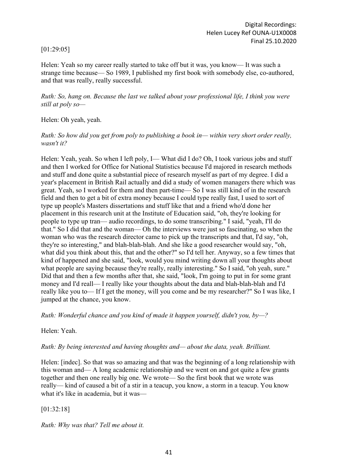# [01:29:05]

Helen: Yeah so my career really started to take off but it was, you know— It was such a strange time because— So 1989, I published my first book with somebody else, co-authored, and that was really, really successful.

*Ruth: So, hang on. Because the last we talked about your professional life, I think you were still at poly so—*

Helen: Oh yeah, yeah.

*Ruth: So how did you get from poly to publishing a book in— within very short order really, wasn't it?*

Helen: Yeah, yeah. So when I left poly, I— What did I do? Oh, I took various jobs and stuff and then I worked for Office for National Statistics because I'd majored in research methods and stuff and done quite a substantial piece of research myself as part of my degree. I did a year's placement in British Rail actually and did a study of women managers there which was great. Yeah, so I worked for them and then part-time— So I was still kind of in the research field and then to get a bit of extra money because I could type really fast, I used to sort of type up people's Masters dissertations and stuff like that and a friend who'd done her placement in this research unit at the Institute of Education said, "oh, they're looking for people to type up tran— audio recordings, to do some transcribing." I said, "yeah, I'll do that." So I did that and the woman— Oh the interviews were just so fascinating, so when the woman who was the research director came to pick up the transcripts and that, I'd say, "oh, they're so interesting," and blah-blah-blah. And she like a good researcher would say, "oh, what did you think about this, that and the other?" so I'd tell her. Anyway, so a few times that kind of happened and she said, "look, would you mind writing down all your thoughts about what people are saying because they're really, really interesting." So I said, "oh yeah, sure." Did that and then a few months after that, she said, "look, I'm going to put in for some grant money and I'd reall— I really like your thoughts about the data and blah-blah-blah and I'd really like you to— If I get the money, will you come and be my researcher?" So I was like, I jumped at the chance, you know.

*Ruth: Wonderful chance and you kind of made it happen yourself, didn't you, by—?*

Helen: Yeah.

*Ruth: By being interested and having thoughts and— about the data, yeah. Brilliant.*

Helen: [indec]. So that was so amazing and that was the beginning of a long relationship with this woman and— A long academic relationship and we went on and got quite a few grants together and then one really big one. We wrote— So the first book that we wrote was really— kind of caused a bit of a stir in a teacup, you know, a storm in a teacup. You know what it's like in academia, but it was—

[01:32:18]

*Ruth: Why was that? Tell me about it.*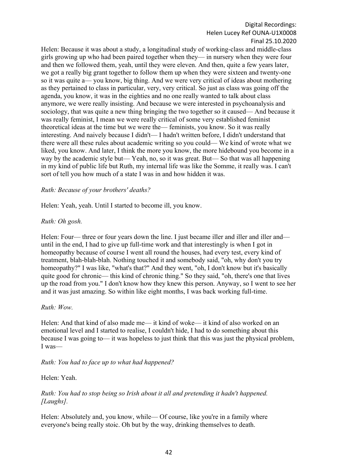#### Digital Recordings: Helen Lucey Ref OUNA-U1X0008 Final 25.10.2020

Helen: Because it was about a study, a longitudinal study of working-class and middle-class girls growing up who had been paired together when they— in nursery when they were four and then we followed them, yeah, until they were eleven. And then, quite a few years later, we got a really big grant together to follow them up when they were sixteen and twenty-one so it was quite a— you know, big thing. And we were very critical of ideas about mothering as they pertained to class in particular, very, very critical. So just as class was going off the agenda, you know, it was in the eighties and no one really wanted to talk about class anymore, we were really insisting. And because we were interested in psychoanalysis and sociology, that was quite a new thing bringing the two together so it caused— And because it was really feminist, I mean we were really critical of some very established feminist theoretical ideas at the time but we were the— feminists, you know. So it was really interesting. And naively because I didn't— I hadn't written before, I didn't understand that there were all these rules about academic writing so you could— We kind of wrote what we liked, you know. And later, I think the more you know, the more hidebound you become in a way by the academic style but— Yeah, no, so it was great. But— So that was all happening in my kind of public life but Ruth, my internal life was like the Somme, it really was. I can't sort of tell you how much of a state I was in and how hidden it was.

### *Ruth: Because of your brothers' deaths?*

Helen: Yeah, yeah. Until I started to become ill, you know.

#### *Ruth: Oh gosh.*

Helen: Four— three or four years down the line. I just became iller and iller and iller and until in the end, I had to give up full-time work and that interestingly is when I got in homeopathy because of course I went all round the houses, had every test, every kind of treatment, blah-blah-blah. Nothing touched it and somebody said, "oh, why don't you try homeopathy?" I was like, "what's that?" And they went, "oh, I don't know but it's basically quite good for chronic— this kind of chronic thing." So they said, "oh, there's one that lives up the road from you." I don't know how they knew this person. Anyway, so I went to see her and it was just amazing. So within like eight months, I was back working full-time.

#### *Ruth: Wow.*

Helen: And that kind of also made me— it kind of woke— it kind of also worked on an emotional level and I started to realise, I couldn't hide, I had to do something about this because I was going to— it was hopeless to just think that this was just the physical problem, I was—

*Ruth: You had to face up to what had happened?*

Helen: Yeah.

# *Ruth: You had to stop being so Irish about it all and pretending it hadn't happened. [Laughs].*

Helen: Absolutely and, you know, while— Of course, like you're in a family where everyone's being really stoic. Oh but by the way, drinking themselves to death.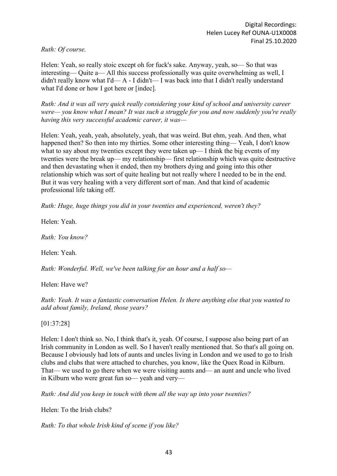*Ruth: Of course.*

Helen: Yeah, so really stoic except oh for fuck's sake. Anyway, yeah, so— So that was interesting— Quite a— All this success professionally was quite overwhelming as well, I didn't really know what I'd— A - I didn't— I was back into that I didn't really understand what I'd done or how I got here or [indec].

*Ruth: And it was all very quick really considering your kind of school and university career were— you know what I mean? It was such a struggle for you and now suddenly you're really having this very successful academic career, it was—*

Helen: Yeah, yeah, yeah, absolutely, yeah, that was weird. But ehm, yeah. And then, what happened then? So then into my thirties. Some other interesting thing—Yeah, I don't know what to say about my twenties except they were taken up— I think the big events of my twenties were the break up— my relationship— first relationship which was quite destructive and then devastating when it ended, then my brothers dying and going into this other relationship which was sort of quite healing but not really where I needed to be in the end. But it was very healing with a very different sort of man. And that kind of academic professional life taking off.

*Ruth: Huge, huge things you did in your twenties and experienced, weren't they?*

Helen: Yeah.

*Ruth: You know?*

Helen: Yeah.

*Ruth: Wonderful. Well, we've been talking for an hour and a half so—*

Helen: Have we?

*Ruth: Yeah. It was a fantastic conversation Helen. Is there anything else that you wanted to add about family, Ireland, those years?*

[01:37:28]

Helen: I don't think so. No, I think that's it, yeah. Of course, I suppose also being part of an Irish community in London as well. So I haven't really mentioned that. So that's all going on. Because I obviously had lots of aunts and uncles living in London and we used to go to Irish clubs and clubs that were attached to churches, you know, like the Quex Road in Kilburn. That— we used to go there when we were visiting aunts and— an aunt and uncle who lived in Kilburn who were great fun so— yeah and very—

*Ruth: And did you keep in touch with them all the way up into your twenties?*

Helen: To the Irish clubs?

*Ruth: To that whole Irish kind of scene if you like?*